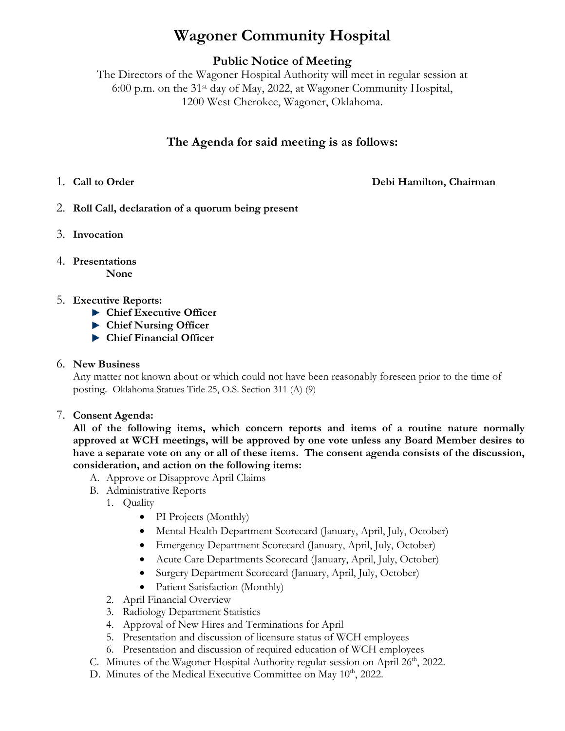# **Wagoner Community Hospital**

# **Public Notice of Meeting**

The Directors of the Wagoner Hospital Authority will meet in regular session at 6:00 p.m. on the 31st day of May, 2022, at Wagoner Community Hospital, 1200 West Cherokee, Wagoner, Oklahoma.

# **The Agenda for said meeting is as follows:**

1. **Call to Order Debi Hamilton, Chairman**

- 2. **Roll Call, declaration of a quorum being present**
- 3. **Invocation**
- 4. **Presentations None**

## 5. **Executive Reports:**

- **Chief Executive Officer**
- **Chief Nursing Officer**
- **Chief Financial Officer**

### 6. **New Business**

Any matter not known about or which could not have been reasonably foreseen prior to the time of posting. Oklahoma Statues Title 25, O.S. Section 311 (A) (9)

7. **Consent Agenda:**

**All of the following items, which concern reports and items of a routine nature normally approved at WCH meetings, will be approved by one vote unless any Board Member desires to have a separate vote on any or all of these items. The consent agenda consists of the discussion, consideration, and action on the following items:**

- A. Approve or Disapprove April Claims
- B. Administrative Reports
	- 1. Quality
		- PI Projects (Monthly)
		- Mental Health Department Scorecard (January, April, July, October)
		- Emergency Department Scorecard (January, April, July, October)
		- Acute Care Departments Scorecard (January, April, July, October)
		- Surgery Department Scorecard (January, April, July, October)
		- Patient Satisfaction (Monthly)
	- 2. April Financial Overview
	- 3. Radiology Department Statistics
	- 4. Approval of New Hires and Terminations for April
	- 5. Presentation and discussion of licensure status of WCH employees
	- 6. Presentation and discussion of required education of WCH employees
- C. Minutes of the Wagoner Hospital Authority regular session on April  $26<sup>th</sup>$ , 2022.
- D. Minutes of the Medical Executive Committee on May  $10<sup>th</sup>$ , 2022.